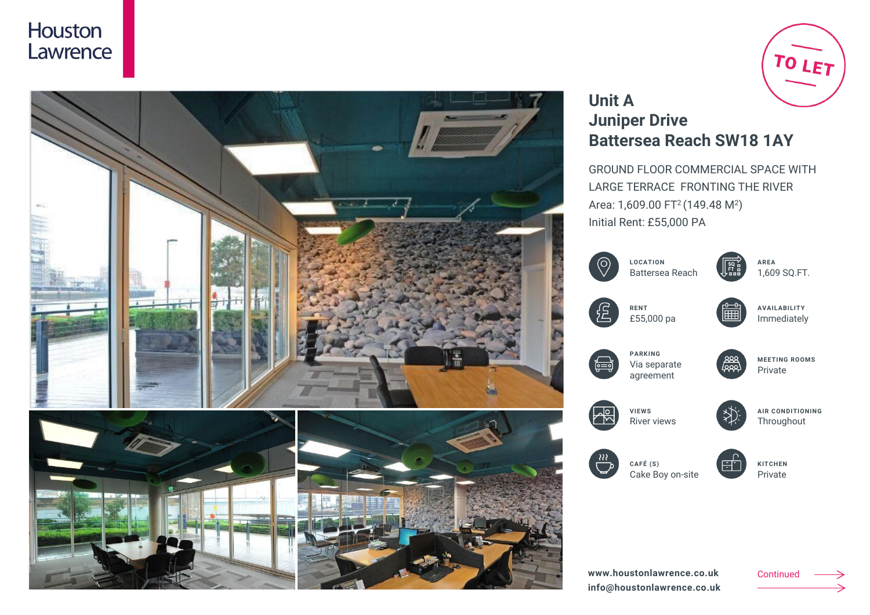



# TO LET

# **Unit A Juniper Drive Battersea Reach SW18 1AY**

GROUND FLOOR COMMERCIAL SPACE WITH LARGE TERRACE FRONTING THE RIVER Area: 1,609.00 FT<sup>2</sup> (149.48 M<sup>2</sup>) Initial Rent: £55,000 PA

|    | <b>LOCATION</b><br>Battersea Reach          | $\frac{SO}{FI}$ | <b>AREA</b><br>1,609 SQ.FT.           |
|----|---------------------------------------------|-----------------|---------------------------------------|
|    | <b>RENT</b><br>£55,000 pa                   |                 | <b>AVAILABILITY</b><br>Immediately    |
| Ë  | <b>PARKING</b><br>Via separate<br>agreement | عمط             | <b>MEETING ROOMS</b><br>Private       |
|    | <b>VIEWS</b><br><b>River views</b>          |                 | <b>AIR CONDITIONING</b><br>Throughout |
| 88 | CAFÉ (S)<br>Cake Boy on-site                | ÷               | <b>KITCHEN</b><br>Private             |

Continued